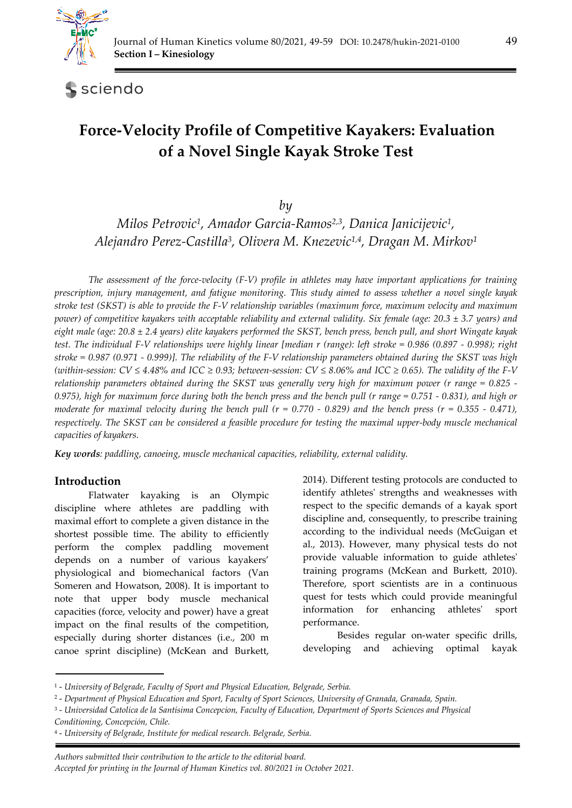

sciendo

# **Force-Velocity Profile of Competitive Kayakers: Evaluation of a Novel Single Kayak Stroke Test**

*by* 

*Milos Petrovic1, Amador Garcia-Ramos2,3, Danica Janicijevic1, Alejandro Perez-Castilla3, Olivera M. Knezevic1,4, Dragan M. Mirkov1*

*The assessment of the force-velocity (F-V) profile in athletes may have important applications for training prescription, injury management, and fatigue monitoring. This study aimed to assess whether a novel single kayak stroke test (SKST) is able to provide the F-V relationship variables (maximum force, maximum velocity and maximum power) of competitive kayakers with acceptable reliability and external validity. Six female (age: 20.3 ± 3.7 years) and eight male (age: 20.8 ± 2.4 years) elite kayakers performed the SKST, bench press, bench pull, and short Wingate kayak test. The individual F-V relationships were highly linear [median r (range): left stroke = 0.986 (0.897 - 0.998); right stroke = 0.987 (0.971 - 0.999)]. The reliability of the F-V relationship parameters obtained during the SKST was high (within-session: CV ≤ 4.48% and ICC ≥ 0.93; between-session: CV ≤ 8.06% and ICC ≥ 0.65). The validity of the F-V relationship parameters obtained during the SKST was generally very high for maximum power (r range = 0.825 - 0.975), high for maximum force during both the bench press and the bench pull (r range = 0.751 - 0.831), and high or moderate for maximal velocity during the bench pull (r = 0.770 - 0.829) and the bench press (r = 0.355 - 0.471), respectively. The SKST can be considered a feasible procedure for testing the maximal upper-body muscle mechanical capacities of kayakers.* 

*Key words: paddling, canoeing, muscle mechanical capacities, reliability, external validity.* 

## **Introduction**

Flatwater kayaking is an Olympic discipline where athletes are paddling with maximal effort to complete a given distance in the shortest possible time. The ability to efficiently perform the complex paddling movement depends on a number of various kayakers' physiological and biomechanical factors (Van Someren and Howatson, 2008). It is important to note that upper body muscle mechanical capacities (force, velocity and power) have a great impact on the final results of the competition, especially during shorter distances (i.e., 200 m canoe sprint discipline) (McKean and Burkett,

2014). Different testing protocols are conducted to identify athletes' strengths and weaknesses with respect to the specific demands of a kayak sport discipline and, consequently, to prescribe training according to the individual needs (McGuigan et al., 2013). However, many physical tests do not provide valuable information to guide athletes' training programs (McKean and Burkett, 2010). Therefore, sport scientists are in a continuous quest for tests which could provide meaningful information for enhancing athletes' sport performance.

Besides regular on-water specific drills, developing and achieving optimal kayak

4 - *University of Belgrade, Institute for medical research. Belgrade, Serbia.* 

 *Authors submitted their contribution to the article to the editorial board. Accepted for printing in the Journal of Human Kinetics vol. 80/2021 in October 2021.* 

<sup>1 -</sup> *University of Belgrade, Faculty of Sport and Physical Education, Belgrade, Serbia.* 

<sup>2 -</sup> *Department of Physical Education and Sport, Faculty of Sport Sciences, University of Granada, Granada, Spain.* 

<sup>3 -</sup> *Universidad Catolica de la Santísima Concepcion, Faculty of Education, Department of Sports Sciences and Physical Conditioning, Concepción, Chile.*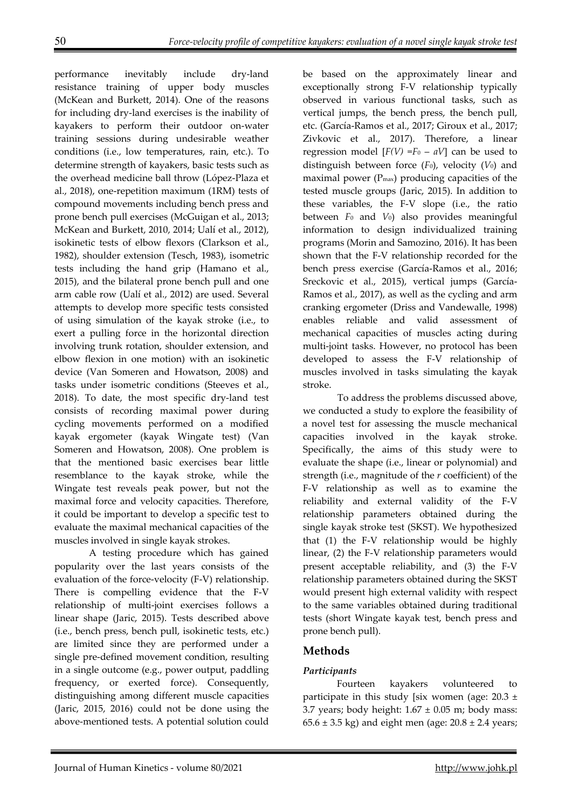performance inevitably include dry-land resistance training of upper body muscles (McKean and Burkett, 2014). One of the reasons for including dry-land exercises is the inability of kayakers to perform their outdoor on-water training sessions during undesirable weather conditions (i.e., low temperatures, rain, etc.). To determine strength of kayakers, basic tests such as the overhead medicine ball throw (López-Plaza et al., 2018), one-repetition maximum (1RM) tests of compound movements including bench press and prone bench pull exercises (McGuigan et al., 2013; McKean and Burkett, 2010, 2014; Ualí et al., 2012), isokinetic tests of elbow flexors (Clarkson et al., 1982), shoulder extension (Tesch, 1983), isometric tests including the hand grip (Hamano et al., 2015), and the bilateral prone bench pull and one arm cable row (Ualí et al., 2012) are used. Several attempts to develop more specific tests consisted of using simulation of the kayak stroke (i.e., to exert a pulling force in the horizontal direction involving trunk rotation, shoulder extension, and elbow flexion in one motion) with an isokinetic device (Van Someren and Howatson, 2008) and tasks under isometric conditions (Steeves et al., 2018). To date, the most specific dry-land test consists of recording maximal power during cycling movements performed on a modified kayak ergometer (kayak Wingate test) (Van Someren and Howatson, 2008). One problem is that the mentioned basic exercises bear little resemblance to the kayak stroke, while the Wingate test reveals peak power, but not the maximal force and velocity capacities. Therefore, it could be important to develop a specific test to evaluate the maximal mechanical capacities of the muscles involved in single kayak strokes.

A testing procedure which has gained popularity over the last years consists of the evaluation of the force-velocity (F-V) relationship. There is compelling evidence that the F-V relationship of multi-joint exercises follows a linear shape (Jaric, 2015). Tests described above (i.e., bench press, bench pull, isokinetic tests, etc.) are limited since they are performed under a single pre-defined movement condition, resulting in a single outcome (e.g., power output, paddling frequency, or exerted force). Consequently, distinguishing among different muscle capacities (Jaric, 2015, 2016) could not be done using the above-mentioned tests. A potential solution could

be based on the approximately linear and exceptionally strong F-V relationship typically observed in various functional tasks, such as vertical jumps, the bench press, the bench pull, etc. (García-Ramos et al., 2017; Giroux et al., 2017; Zivkovic et al., 2017). Therefore, a linear regression model  $[F(V) = F_0 - aV]$  can be used to distinguish between force (*F*0), velocity (*V*0) and maximal power  $(P_{\text{max}})$  producing capacities of the tested muscle groups (Jaric, 2015). In addition to these variables, the F-V slope (i.e., the ratio between *F*0 and *V*0) also provides meaningful information to design individualized training programs (Morin and Samozino, 2016). It has been shown that the F-V relationship recorded for the bench press exercise (García-Ramos et al., 2016; Sreckovic et al., 2015), vertical jumps (García-Ramos et al., 2017), as well as the cycling and arm cranking ergometer (Driss and Vandewalle, 1998) enables reliable and valid assessment of mechanical capacities of muscles acting during multi-joint tasks. However, no protocol has been developed to assess the F-V relationship of muscles involved in tasks simulating the kayak stroke.

To address the problems discussed above, we conducted a study to explore the feasibility of a novel test for assessing the muscle mechanical capacities involved in the kayak stroke. Specifically, the aims of this study were to evaluate the shape (i.e., linear or polynomial) and strength (i.e., magnitude of the *r* coefficient) of the F-V relationship as well as to examine the reliability and external validity of the F-V relationship parameters obtained during the single kayak stroke test (SKST). We hypothesized that (1) the F-V relationship would be highly linear, (2) the F-V relationship parameters would present acceptable reliability, and (3) the F-V relationship parameters obtained during the SKST would present high external validity with respect to the same variables obtained during traditional tests (short Wingate kayak test, bench press and prone bench pull).

# **Methods**

# *Participants*

Fourteen kayakers volunteered to participate in this study [six women (age:  $20.3 \pm$ 3.7 years; body height:  $1.67 \pm 0.05$  m; body mass:  $65.6 \pm 3.5$  kg) and eight men (age:  $20.8 \pm 2.4$  years;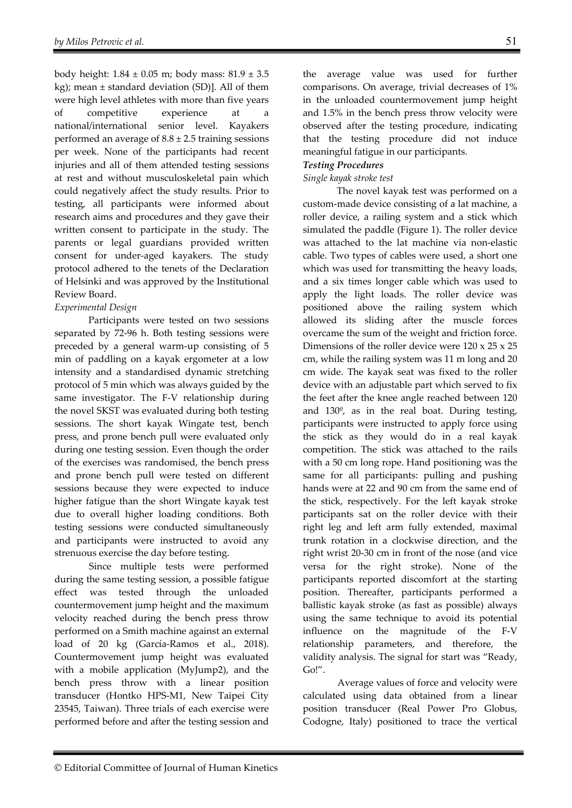body height:  $1.84 \pm 0.05$  m; body mass:  $81.9 \pm 3.5$ kg); mean ± standard deviation (SD)]. All of them were high level athletes with more than five years of competitive experience at a national/international senior level. Kayakers performed an average of  $8.8 \pm 2.5$  training sessions per week. None of the participants had recent injuries and all of them attended testing sessions at rest and without musculoskeletal pain which could negatively affect the study results. Prior to testing, all participants were informed about research aims and procedures and they gave their written consent to participate in the study. The parents or legal guardians provided written consent for under-aged kayakers. The study protocol adhered to the tenets of the Declaration of Helsinki and was approved by the Institutional Review Board.

#### *Experimental Design*

Participants were tested on two sessions separated by 72-96 h. Both testing sessions were preceded by a general warm-up consisting of 5 min of paddling on a kayak ergometer at a low intensity and a standardised dynamic stretching protocol of 5 min which was always guided by the same investigator. The F-V relationship during the novel SKST was evaluated during both testing sessions. The short kayak Wingate test, bench press, and prone bench pull were evaluated only during one testing session. Even though the order of the exercises was randomised, the bench press and prone bench pull were tested on different sessions because they were expected to induce higher fatigue than the short Wingate kayak test due to overall higher loading conditions. Both testing sessions were conducted simultaneously and participants were instructed to avoid any strenuous exercise the day before testing.

Since multiple tests were performed during the same testing session, a possible fatigue effect was tested through the unloaded countermovement jump height and the maximum velocity reached during the bench press throw performed on a Smith machine against an external load of 20 kg (García-Ramos et al., 2018). Countermovement jump height was evaluated with a mobile application (MyJump2), and the bench press throw with a linear position transducer (Hontko HPS-M1, New Taipei City 23545, Taiwan). Three trials of each exercise were performed before and after the testing session and

the average value was used for further comparisons. On average, trivial decreases of 1% in the unloaded countermovement jump height and 1.5% in the bench press throw velocity were observed after the testing procedure, indicating that the testing procedure did not induce meaningful fatigue in our participants.

### *Testing Procedures*

#### *Single kayak stroke test*

The novel kayak test was performed on a custom-made device consisting of a lat machine, a roller device, a railing system and a stick which simulated the paddle (Figure 1). The roller device was attached to the lat machine via non-elastic cable. Two types of cables were used, a short one which was used for transmitting the heavy loads, and a six times longer cable which was used to apply the light loads. The roller device was positioned above the railing system which allowed its sliding after the muscle forces overcame the sum of the weight and friction force. Dimensions of the roller device were 120 x 25 x 25 cm, while the railing system was 11 m long and 20 cm wide. The kayak seat was fixed to the roller device with an adjustable part which served to fix the feet after the knee angle reached between 120 and 130º, as in the real boat. During testing, participants were instructed to apply force using the stick as they would do in a real kayak competition. The stick was attached to the rails with a 50 cm long rope. Hand positioning was the same for all participants: pulling and pushing hands were at 22 and 90 cm from the same end of the stick, respectively. For the left kayak stroke participants sat on the roller device with their right leg and left arm fully extended, maximal trunk rotation in a clockwise direction, and the right wrist 20-30 cm in front of the nose (and vice versa for the right stroke). None of the participants reported discomfort at the starting position. Thereafter, participants performed a ballistic kayak stroke (as fast as possible) always using the same technique to avoid its potential influence on the magnitude of the F-V relationship parameters, and therefore, the validity analysis. The signal for start was "Ready, Go!".

Average values of force and velocity were calculated using data obtained from a linear position transducer (Real Power Pro Globus, Codogne, Italy) positioned to trace the vertical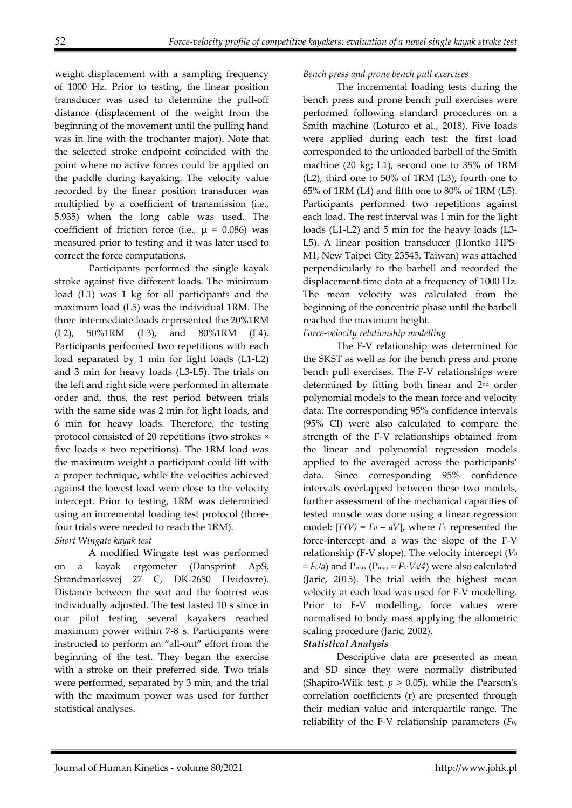weight displacement with a sampling frequency of 1000 Hz. Prior to testing, the linear position transducer was used to determine the pull-off distance (displacement of the weight from the beginning of the movement until the pulling hand was in line with the trochanter major). Note that the selected stroke endpoint coincided with the point where no active forces could be applied on the paddle during kayaking. The velocity value recorded by the linear position transducer was multiplied by a coefficient of transmission (i.e., 5.935) when the long cable was used. The coefficient of friction force (i.e.,  $\mu$  = 0.086) was measured prior to testing and it was later used to correct the force computations.

Participants performed the single kayak stroke against five different loads. The minimum load (L1) was 1 kg for all participants and the maximum load (L5) was the individual 1RM. The three intermediate loads represented the 20%1RM (L2), 50%1RM (L3), and 80%1RM (L4). Participants performed two repetitions with each load separated by 1 min for light loads (L1-L2) and 3 min for heavy loads (L3-L5). The trials on the left and right side were performed in alternate order and, thus, the rest period between trials with the same side was 2 min for light loads, and 6 min for heavy loads. Therefore, the testing protocol consisted of 20 repetitions (two strokes × five loads × two repetitions). The 1RM load was the maximum weight a participant could lift with a proper technique, while the velocities achieved against the lowest load were close to the velocity intercept. Prior to testing, 1RM was determined using an incremental loading test protocol (threefour trials were needed to reach the 1RM).

*Short Wingate kayak test* 

A modified Wingate test was performed on a kayak ergometer (Dansprint ApS, Strandmarksvej 27 C, DK-2650 Hvidovre). Distance between the seat and the footrest was individually adjusted. The test lasted 10 s since in our pilot testing several kayakers reached maximum power within 7-8 s. Participants were instructed to perform an "all-out" effort from the beginning of the test. They began the exercise with a stroke on their preferred side. Two trials were performed, separated by 3 min, and the trial with the maximum power was used for further statistical analyses.

#### *Bench press and prone bench pull exercises*

The incremental loading tests during the bench press and prone bench pull exercises were performed following standard procedures on a Smith machine (Loturco et al., 2018). Five loads were applied during each test: the first load corresponded to the unloaded barbell of the Smith machine (20 kg; L1), second one to 35% of 1RM (L2), third one to 50% of 1RM (L3), fourth one to 65% of 1RM (L4) and fifth one to 80% of 1RM (L5). Participants performed two repetitions against each load. The rest interval was 1 min for the light loads (L1-L2) and 5 min for the heavy loads (L3- L5). A linear position transducer (Hontko HPS-M1, New Taipei City 23545, Taiwan) was attached perpendicularly to the barbell and recorded the displacement-time data at a frequency of 1000 Hz. The mean velocity was calculated from the beginning of the concentric phase until the barbell reached the maximum height.

#### *Force-velocity relationship modelling*

The F-V relationship was determined for the SKST as well as for the bench press and prone bench pull exercises. The F-V relationships were determined by fitting both linear and 2nd order polynomial models to the mean force and velocity data. The corresponding 95% confidence intervals (95% CI) were also calculated to compare the strength of the F-V relationships obtained from the linear and polynomial regression models applied to the averaged across the participants' data. Since corresponding 95% confidence intervals overlapped between these two models, further assessment of the mechanical capacities of tested muscle was done using a linear regression model:  $[F(V) = F_0 - aV]$ , where  $F_0$  represented the force-intercept and a was the slope of the F-V relationship (F-V slope). The velocity intercept (*V0 = F0/a*) and Pmax (Pmax = *F0∙V0/4*) were also calculated (Jaric, 2015). The trial with the highest mean velocity at each load was used for F-V modelling. Prior to F-V modelling, force values were normalised to body mass applying the allometric scaling procedure (Jaric, 2002).

#### *Statistical Analysis*

Descriptive data are presented as mean and SD since they were normally distributed (Shapiro-Wilk test:  $p > 0.05$ ), while the Pearson's correlation coefficients (r) are presented through their median value and interquartile range. The reliability of the F-V relationship parameters (*F*0,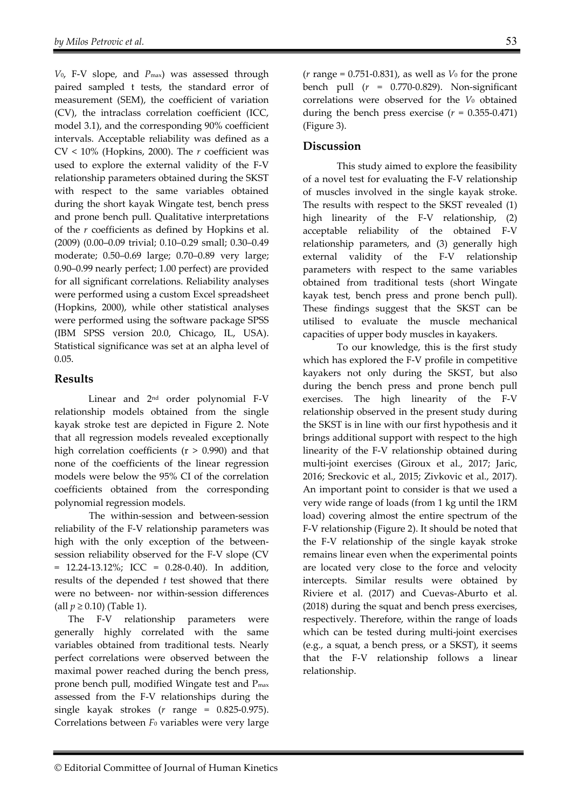*V*0, F-V slope, and *P*max) was assessed through paired sampled t tests, the standard error of measurement (SEM), the coefficient of variation (CV), the intraclass correlation coefficient (ICC, model 3.1), and the corresponding 90% coefficient intervals. Acceptable reliability was defined as a CV < 10% (Hopkins, 2000). The *r* coefficient was used to explore the external validity of the F-V relationship parameters obtained during the SKST with respect to the same variables obtained during the short kayak Wingate test, bench press and prone bench pull. Qualitative interpretations of the *r* coefficients as defined by Hopkins et al. (2009) (0.00–0.09 trivial; 0.10–0.29 small; 0.30–0.49 moderate; 0.50–0.69 large; 0.70–0.89 very large; 0.90–0.99 nearly perfect; 1.00 perfect) are provided for all significant correlations. Reliability analyses were performed using a custom Excel spreadsheet (Hopkins, 2000), while other statistical analyses were performed using the software package SPSS (IBM SPSS version 20.0, Chicago, IL, USA). Statistical significance was set at an alpha level of 0.05.

## **Results**

Linear and 2nd order polynomial F-V relationship models obtained from the single kayak stroke test are depicted in Figure 2. Note that all regression models revealed exceptionally high correlation coefficients  $(r > 0.990)$  and that none of the coefficients of the linear regression models were below the 95% CI of the correlation coefficients obtained from the corresponding polynomial regression models.

The within-session and between-session reliability of the F-V relationship parameters was high with the only exception of the betweensession reliability observed for the F-V slope (CV  $= 12.24 - 13.12\%$ ; ICC  $= 0.28 - 0.40$ ). In addition, results of the depended *t* test showed that there were no between- nor within-session differences (all *p* ≥ 0.10) (Table 1).

The F-V relationship parameters were generally highly correlated with the same variables obtained from traditional tests. Nearly perfect correlations were observed between the maximal power reached during the bench press, prone bench pull, modified Wingate test and Pmax assessed from the F-V relationships during the single kayak strokes (*r* range = 0.825-0.975). Correlations between *F*0 variables were very large

(*r* range = 0.751-0.831), as well as *V*0 for the prone bench pull (*r* = 0.770-0.829). Non-significant correlations were observed for the *V*0 obtained during the bench press exercise  $(r = 0.355 - 0.471)$ (Figure 3).

## **Discussion**

This study aimed to explore the feasibility of a novel test for evaluating the F-V relationship of muscles involved in the single kayak stroke. The results with respect to the SKST revealed (1) high linearity of the F-V relationship, (2) acceptable reliability of the obtained F-V relationship parameters, and (3) generally high external validity of the F-V relationship parameters with respect to the same variables obtained from traditional tests (short Wingate kayak test, bench press and prone bench pull). These findings suggest that the SKST can be utilised to evaluate the muscle mechanical capacities of upper body muscles in kayakers.

To our knowledge, this is the first study which has explored the F-V profile in competitive kayakers not only during the SKST, but also during the bench press and prone bench pull exercises. The high linearity of the F-V relationship observed in the present study during the SKST is in line with our first hypothesis and it brings additional support with respect to the high linearity of the F-V relationship obtained during multi-joint exercises (Giroux et al., 2017; Jaric, 2016; Sreckovic et al., 2015; Zivkovic et al., 2017). An important point to consider is that we used a very wide range of loads (from 1 kg until the 1RM load) covering almost the entire spectrum of the F-V relationship (Figure 2). It should be noted that the F-V relationship of the single kayak stroke remains linear even when the experimental points are located very close to the force and velocity intercepts. Similar results were obtained by Riviere et al. (2017) and Cuevas-Aburto et al. (2018) during the squat and bench press exercises, respectively. Therefore, within the range of loads which can be tested during multi-joint exercises (e.g., a squat, a bench press, or a SKST), it seems that the F-V relationship follows a linear relationship.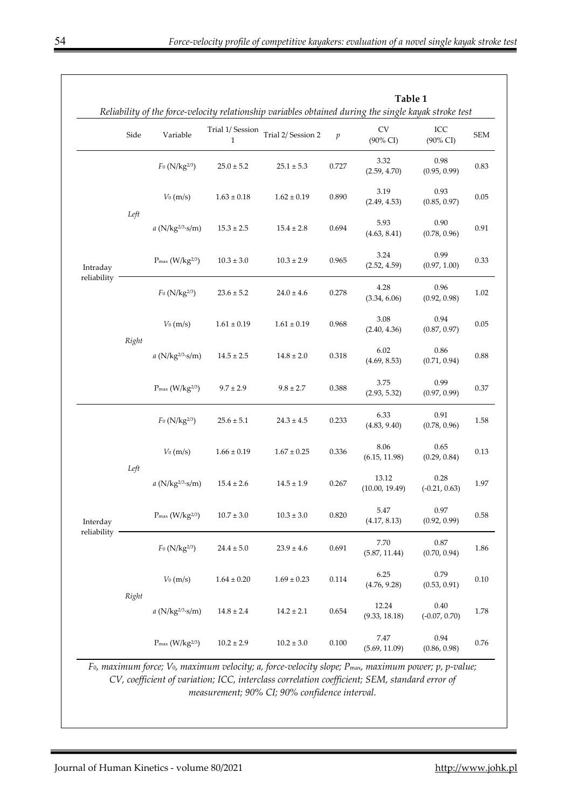|                         |       |                                |                                  | Reliability of the force-velocity relationship variables obtained during the single kayak stroke test |                  |                                  |                          |            |
|-------------------------|-------|--------------------------------|----------------------------------|-------------------------------------------------------------------------------------------------------|------------------|----------------------------------|--------------------------|------------|
|                         | Side  | Variable                       | Trial 1/ Session<br>$\mathbf{1}$ | Trial 2/ Session 2                                                                                    | $\boldsymbol{p}$ | <b>CV</b><br>$(90\% \text{ CI})$ | ICC<br>(90% CI)          | <b>SEM</b> |
| Intraday<br>reliability | Left  | $F_0$ (N/kg <sup>2/3</sup> )   | $25.0 \pm 5.2$                   | $25.1 \pm 5.3$                                                                                        | 0.727            | 3.32<br>(2.59, 4.70)             | 0.98<br>(0.95, 0.99)     | 0.83       |
|                         |       | $V_0$ (m/s)                    | $1.63 \pm 0.18$                  | $1.62 \pm 0.19$                                                                                       | 0.890            | 3.19<br>(2.49, 4.53)             | 0.93<br>(0.85, 0.97)     | 0.05       |
|                         |       | $a$ (N/kg <sup>2/3</sup> ·s/m) | $15.3 \pm 2.5$                   | $15.4 \pm 2.8$                                                                                        | 0.694            | 5.93<br>(4.63, 8.41)             | 0.90<br>(0.78, 0.96)     | 0.91       |
|                         |       | $P_{max}$ (W/kg $^{2/3}$ )     | $10.3 \pm 3.0$                   | $10.3 \pm 2.9$                                                                                        | 0.965            | 3.24<br>(2.52, 4.59)             | 0.99<br>(0.97, 1.00)     | 0.33       |
|                         | Right | $F_0$ (N/kg <sup>2/3</sup> )   | $23.6 \pm 5.2$                   | $24.0 \pm 4.6$                                                                                        | 0.278            | 4.28<br>(3.34, 6.06)             | 0.96<br>(0.92, 0.98)     | 1.02       |
|                         |       | $V_0$ (m/s)                    | $1.61\pm0.19$                    | $1.61 \pm 0.19$                                                                                       | 0.968            | 3.08<br>(2.40, 4.36)             | 0.94<br>(0.87, 0.97)     | 0.05       |
|                         |       | $a (N/kg^{2/3} \cdot s/m)$     | $14.5 \pm 2.5$                   | $14.8 \pm 2.0$                                                                                        | 0.318            | 6.02<br>(4.69, 8.53)             | 0.86<br>(0.71, 0.94)     | 0.88       |
|                         |       | $P_{\text{max}}(W/kg^{2/3})$   | $9.7 \pm 2.9$                    | $9.8 \pm 2.7$                                                                                         | 0.388            | 3.75<br>(2.93, 5.32)             | 0.99<br>(0.97, 0.99)     | 0.37       |
| Interday<br>reliability | Left  | $F_0$ (N/kg <sup>2/3</sup> )   | $25.6 \pm 5.1$                   | $24.3 \pm 4.5$                                                                                        | 0.233            | 6.33<br>(4.83, 9.40)             | 0.91<br>(0.78, 0.96)     | 1.58       |
|                         |       | $V_0$ (m/s)                    | $1.66 \pm 0.19$                  | $1.67 \pm 0.25$                                                                                       | 0.336            | 8.06<br>(6.15, 11.98)            | 0.65<br>(0.29, 0.84)     | 0.13       |
|                         |       | $a$ (N/kg <sup>2/3</sup> ·s/m) | $15.4 \pm 2.6$                   | $14.5 \pm 1.9$                                                                                        | 0.267            | 13.12<br>(10.00, 19.49)          | 0.28<br>$(-0.21, 0.63)$  | 1.97       |
|                         |       | $P_{\text{max}}(W/kg^{2/3})$   | $10.7 \pm 3.0$                   | $10.3 \pm 3.0$                                                                                        | 0.820            | 5.47<br>(4.17, 8.13)             | 0.97<br>(0.92, 0.99)     | 0.58       |
|                         | Right | $F_0$ (N/kg <sup>2/3</sup> )   | $24.4 \pm 5.0$                   | $23.9 \pm 4.6$                                                                                        | 0.691            | 7.70<br>(5.87, 11.44)            | $0.87\,$<br>(0.70, 0.94) | 1.86       |
|                         |       | $V_0$ (m/s)                    | $1.64 \pm 0.20$                  | $1.69 \pm 0.23$                                                                                       | 0.114            | 6.25<br>(4.76, 9.28)             | 0.79<br>(0.53, 0.91)     | 0.10       |
|                         |       | $a$ (N/kg <sup>2/3</sup> ·s/m) | $14.8 \pm 2.4$                   | $14.2 \pm 2.1$                                                                                        | 0.654            | 12.24<br>(9.33, 18.18)           | 0.40<br>$(-0.07, 0.70)$  | 1.78       |
|                         |       | $P_{\text{max}}(W/kg^{2/3})$   | $10.2 \pm 2.9$                   | $10.2 \pm 3.0$                                                                                        | 0.100            | 7.47<br>(5.69, 11.09)            | 0.94<br>(0.86, 0.98)     | 0.76       |

*F*0*, maximum force; V*0*, maximum velocity; a, force-velocity slope; P*max*, maximum power; p, p-value; CV, coefficient of variation; ICC, interclass correlation coefficient; SEM, standard error of measurement; 90% CI; 90% confidence interval.*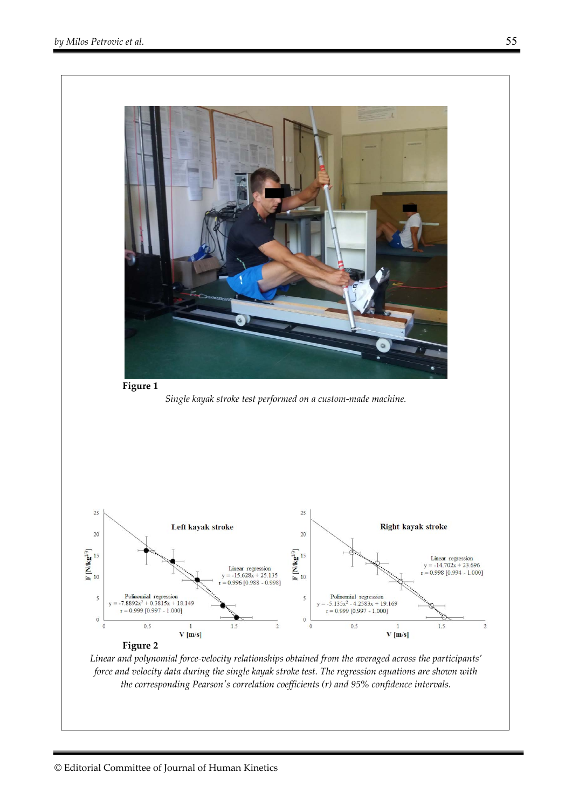

*Linear and polynomial force-velocity relationships obtained from the averaged across the participants' force and velocity data during the single kayak stroke test. The regression equations are shown with the corresponding Pearson's correlation coefficients (r) and 95% confidence intervals.*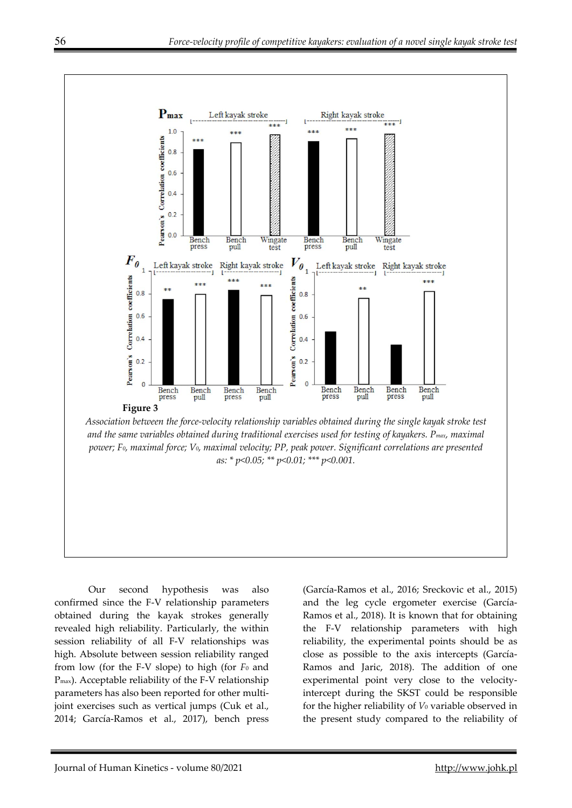

Our second hypothesis was also confirmed since the F-V relationship parameters obtained during the kayak strokes generally revealed high reliability. Particularly, the within session reliability of all F-V relationships was high. Absolute between session reliability ranged from low (for the F-V slope) to high (for *F*0 and Pmax). Acceptable reliability of the F-V relationship parameters has also been reported for other multijoint exercises such as vertical jumps (Cuk et al., 2014; García-Ramos et al., 2017), bench press

(García-Ramos et al., 2016; Sreckovic et al., 2015) and the leg cycle ergometer exercise (García-Ramos et al., 2018). It is known that for obtaining the F-V relationship parameters with high reliability, the experimental points should be as close as possible to the axis intercepts (García-Ramos and Jaric, 2018). The addition of one experimental point very close to the velocityintercept during the SKST could be responsible for the higher reliability of *V*0 variable observed in the present study compared to the reliability of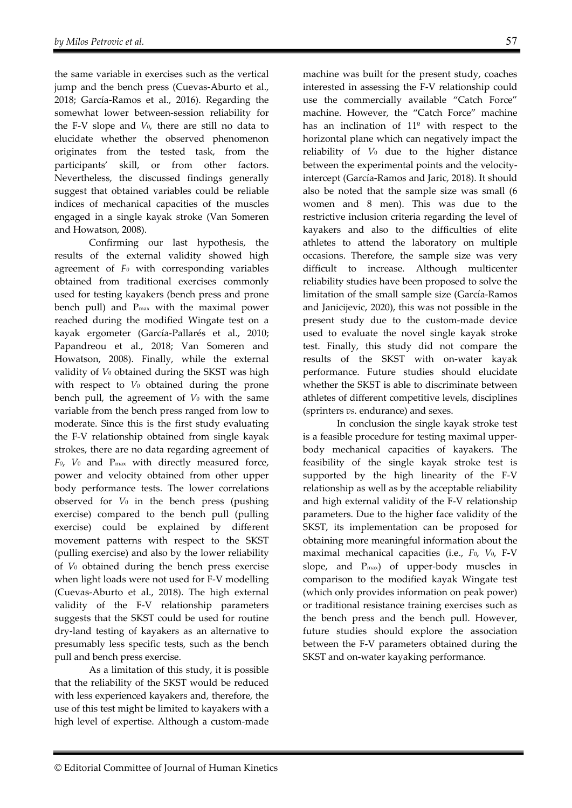the same variable in exercises such as the vertical jump and the bench press (Cuevas-Aburto et al., 2018; García-Ramos et al., 2016). Regarding the somewhat lower between-session reliability for the F-V slope and *V*0, there are still no data to elucidate whether the observed phenomenon originates from the tested task, from the participants' skill, or from other factors. Nevertheless, the discussed findings generally suggest that obtained variables could be reliable indices of mechanical capacities of the muscles engaged in a single kayak stroke (Van Someren and Howatson, 2008).

Confirming our last hypothesis, the results of the external validity showed high agreement of *F0* with corresponding variables obtained from traditional exercises commonly used for testing kayakers (bench press and prone bench pull) and Pmax with the maximal power reached during the modified Wingate test on a kayak ergometer (García-Pallarés et al., 2010; Papandreou et al., 2018; Van Someren and Howatson, 2008). Finally, while the external validity of  $V_0$  obtained during the SKST was high with respect to *V*0 obtained during the prone bench pull, the agreement of *V*0 with the same variable from the bench press ranged from low to moderate. Since this is the first study evaluating the F-V relationship obtained from single kayak strokes, there are no data regarding agreement of *F0*, *V*0 and Pmax with directly measured force, power and velocity obtained from other upper body performance tests. The lower correlations observed for *V*0 in the bench press (pushing exercise) compared to the bench pull (pulling exercise) could be explained by different movement patterns with respect to the SKST (pulling exercise) and also by the lower reliability of *V*0 obtained during the bench press exercise when light loads were not used for F-V modelling (Cuevas-Aburto et al., 2018). The high external validity of the F-V relationship parameters suggests that the SKST could be used for routine dry-land testing of kayakers as an alternative to presumably less specific tests, such as the bench pull and bench press exercise.

As a limitation of this study, it is possible that the reliability of the SKST would be reduced with less experienced kayakers and, therefore, the use of this test might be limited to kayakers with a high level of expertise. Although a custom-made

machine was built for the present study, coaches interested in assessing the F-V relationship could use the commercially available "Catch Force" machine. However, the "Catch Force" machine has an inclination of 11º with respect to the horizontal plane which can negatively impact the reliability of *V*0 due to the higher distance between the experimental points and the velocityintercept (García-Ramos and Jaric, 2018). It should also be noted that the sample size was small (6 women and 8 men). This was due to the restrictive inclusion criteria regarding the level of kayakers and also to the difficulties of elite athletes to attend the laboratory on multiple occasions. Therefore, the sample size was very difficult to increase. Although multicenter reliability studies have been proposed to solve the limitation of the small sample size (García-Ramos and Janicijevic, 2020), this was not possible in the present study due to the custom-made device used to evaluate the novel single kayak stroke test. Finally, this study did not compare the results of the SKST with on-water kayak performance. Future studies should elucidate whether the SKST is able to discriminate between athletes of different competitive levels, disciplines (sprinters *vs.* endurance) and sexes.

In conclusion the single kayak stroke test is a feasible procedure for testing maximal upperbody mechanical capacities of kayakers. The feasibility of the single kayak stroke test is supported by the high linearity of the F-V relationship as well as by the acceptable reliability and high external validity of the F-V relationship parameters. Due to the higher face validity of the SKST, its implementation can be proposed for obtaining more meaningful information about the maximal mechanical capacities (i.e., *F*0, *V*0, F-V slope, and Pmax) of upper-body muscles in comparison to the modified kayak Wingate test (which only provides information on peak power) or traditional resistance training exercises such as the bench press and the bench pull. However, future studies should explore the association between the F-V parameters obtained during the SKST and on-water kayaking performance.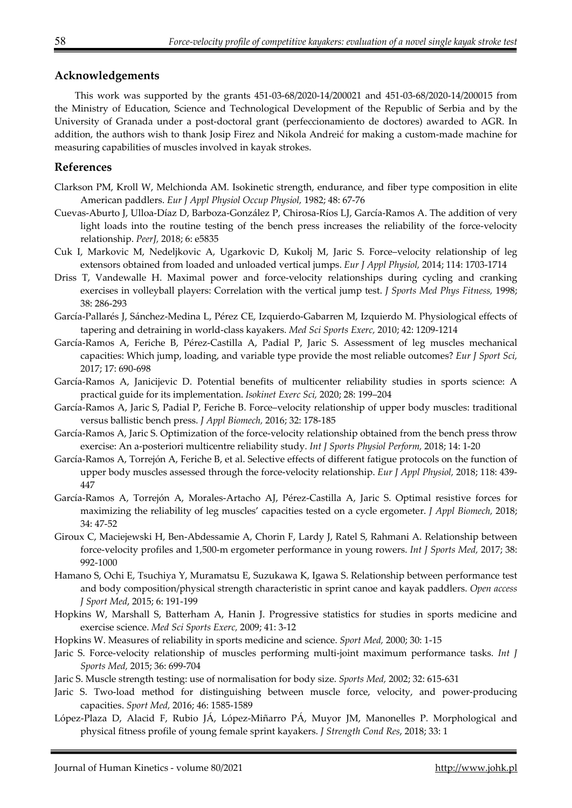## **Acknowledgements**

This work was supported by the grants 451-03-68/2020-14/200021 and 451-03-68/2020-14/200015 from the Ministry of Education, Science and Technological Development of the Republic of Serbia and by the University of Granada under a post-doctoral grant (perfeccionamiento de doctores) awarded to AGR. In addition, the authors wish to thank Josip Firez and Nikola Andreić for making a custom-made machine for measuring capabilities of muscles involved in kayak strokes.

## **References**

- Clarkson PM, Kroll W, Melchionda AM. Isokinetic strength, endurance, and fiber type composition in elite American paddlers. *Eur J Appl Physiol Occup Physiol,* 1982; 48: 67-76
- Cuevas-Aburto J, Ulloa-Díaz D, Barboza-González P, Chirosa-Ríos LJ, García-Ramos A. The addition of very light loads into the routine testing of the bench press increases the reliability of the force-velocity relationship. *PeerJ,* 2018; 6: e5835
- Cuk I, Markovic M, Nedeljkovic A, Ugarkovic D, Kukolj M, Jaric S. Force–velocity relationship of leg extensors obtained from loaded and unloaded vertical jumps. *Eur J Appl Physiol,* 2014; 114: 1703-1714
- Driss T, Vandewalle H. Maximal power and force-velocity relationships during cycling and cranking exercises in volleyball players: Correlation with the vertical jump test. *J Sports Med Phys Fitness,* 1998; 38: 286-293
- García-Pallarés J, Sánchez-Medina L, Pérez CE, Izquierdo-Gabarren M, Izquierdo M. Physiological effects of tapering and detraining in world-class kayakers. *Med Sci Sports Exerc,* 2010; 42: 1209-1214
- García-Ramos A, Feriche B, Pérez-Castilla A, Padial P, Jaric S. Assessment of leg muscles mechanical capacities: Which jump, loading, and variable type provide the most reliable outcomes? *Eur J Sport Sci,* 2017; 17: 690-698
- García-Ramos A, Janicijevic D. Potential benefits of multicenter reliability studies in sports science: A practical guide for its implementation. *Isokinet Exerc Sci,* 2020; 28: 199–204
- García-Ramos A, Jaric S, Padial P, Feriche B. Force–velocity relationship of upper body muscles: traditional versus ballistic bench press. *J Appl Biomech,* 2016; 32: 178-185
- García-Ramos A, Jaric S. Optimization of the force-velocity relationship obtained from the bench press throw exercise: An a-posteriori multicentre reliability study. *Int J Sports Physiol Perform,* 2018; 14: 1-20
- García-Ramos A, Torrejón A, Feriche B, et al. Selective effects of different fatigue protocols on the function of upper body muscles assessed through the force-velocity relationship. *Eur J Appl Physiol,* 2018; 118: 439- 447
- García-Ramos A, Torrejón A, Morales-Artacho AJ, Pérez-Castilla A, Jaric S. Optimal resistive forces for maximizing the reliability of leg muscles' capacities tested on a cycle ergometer. *J Appl Biomech,* 2018; 34: 47-52
- Giroux C, Maciejewski H, Ben-Abdessamie A, Chorin F, Lardy J, Ratel S, Rahmani A. Relationship between force-velocity profiles and 1,500-m ergometer performance in young rowers. *Int J Sports Med,* 2017; 38: 992-1000
- Hamano S, Ochi E, Tsuchiya Y, Muramatsu E, Suzukawa K, Igawa S. Relationship between performance test and body composition/physical strength characteristic in sprint canoe and kayak paddlers. *Open access J Sport Med*, 2015; 6: 191-199
- Hopkins W, Marshall S, Batterham A, Hanin J. Progressive statistics for studies in sports medicine and exercise science. *Med Sci Sports Exerc,* 2009; 41: 3-12
- Hopkins W. Measures of reliability in sports medicine and science. *Sport Med,* 2000; 30: 1-15
- Jaric S. Force-velocity relationship of muscles performing multi-joint maximum performance tasks. *Int J Sports Med,* 2015; 36: 699-704
- Jaric S. Muscle strength testing: use of normalisation for body size. *Sports Med,* 2002; 32: 615-631
- Jaric S. Two-load method for distinguishing between muscle force, velocity, and power-producing capacities. *Sport Med,* 2016; 46: 1585-1589
- López-Plaza D, Alacid F, Rubio JÁ, López-Miñarro PÁ, Muyor JM, Manonelles P. Morphological and physical fitness profile of young female sprint kayakers. *J Strength Cond Res*, 2018; 33: 1